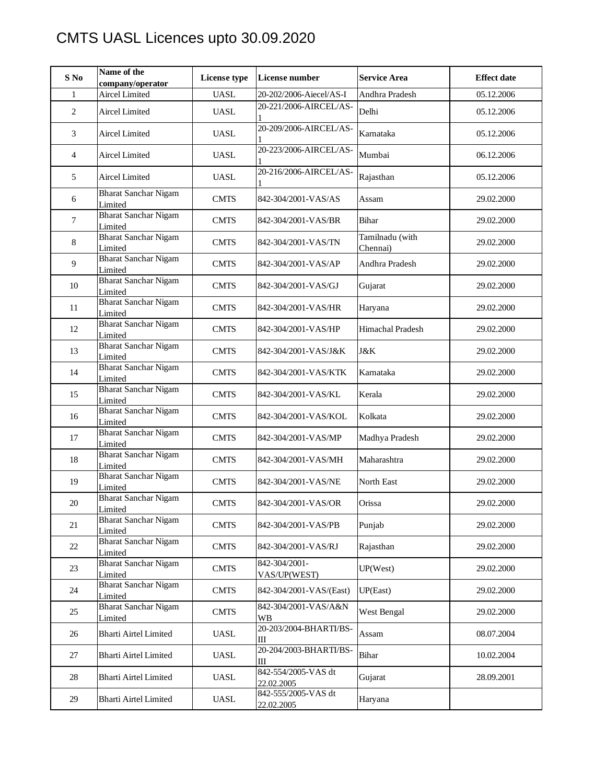## CMTS UASL Licences upto 30.09.2020

| $S$ No         | Name of the<br>company/operator        | <b>License type</b>          | <b>License number</b>             | <b>Service Area</b>         | <b>Effect date</b> |
|----------------|----------------------------------------|------------------------------|-----------------------------------|-----------------------------|--------------------|
| $\mathbf{1}$   | <b>Aircel Limited</b>                  | <b>UASL</b>                  | 20-202/2006-Aiecel/AS-I           | Andhra Pradesh              | 05.12.2006         |
| $\overline{c}$ | Aircel Limited                         | <b>UASL</b>                  | 20-221/2006-AIRCEL/AS-            | Delhi                       | 05.12.2006         |
| 3              | <b>Aircel Limited</b>                  | <b>UASL</b>                  | 20-209/2006-AIRCEL/AS-            | Karnataka                   | 05.12.2006         |
| $\overline{4}$ | <b>Aircel Limited</b>                  | <b>UASL</b>                  | 20-223/2006-AIRCEL/AS-            | Mumbai                      | 06.12.2006         |
| 5              | <b>Aircel Limited</b>                  | <b>UASL</b>                  | 20-216/2006-AIRCEL/AS-            | Rajasthan                   | 05.12.2006         |
| 6              | <b>Bharat Sanchar Nigam</b><br>Limited | <b>CMTS</b>                  | 842-304/2001-VAS/AS               | Assam                       | 29.02.2000         |
| $\overline{7}$ | <b>Bharat Sanchar Nigam</b><br>Limited | <b>CMTS</b>                  | 842-304/2001-VAS/BR               | Bihar                       | 29.02.2000         |
| 8              | <b>Bharat Sanchar Nigam</b><br>Limited | <b>CMTS</b>                  | 842-304/2001-VAS/TN               | Tamilnadu (with<br>Chennai) | 29.02.2000         |
| 9              | <b>Bharat Sanchar Nigam</b><br>Limited | <b>CMTS</b>                  | 842-304/2001-VAS/AP               | Andhra Pradesh              | 29.02.2000         |
| $10\,$         | <b>Bharat Sanchar Nigam</b><br>Limited | <b>CMTS</b>                  | 842-304/2001-VAS/GJ               | Gujarat                     | 29.02.2000         |
| 11             | <b>Bharat Sanchar Nigam</b><br>Limited | <b>CMTS</b>                  | 842-304/2001-VAS/HR               | Haryana                     | 29.02.2000         |
| 12             | <b>Bharat Sanchar Nigam</b><br>Limited | <b>CMTS</b>                  | 842-304/2001-VAS/HP               | Himachal Pradesh            | 29.02.2000         |
| 13             | <b>Bharat Sanchar Nigam</b><br>Limited | <b>CMTS</b>                  | 842-304/2001-VAS/J&K              | J&K                         | 29.02.2000         |
| 14             | <b>Bharat Sanchar Nigam</b><br>Limited | <b>CMTS</b>                  | 842-304/2001-VAS/KTK              | Karnataka                   | 29.02.2000         |
| 15             | <b>Bharat Sanchar Nigam</b><br>Limited | <b>CMTS</b>                  | 842-304/2001-VAS/KL               | Kerala                      | 29.02.2000         |
| 16             | <b>Bharat Sanchar Nigam</b><br>Limited | <b>CMTS</b>                  | 842-304/2001-VAS/KOL              | Kolkata                     | 29.02.2000         |
| 17             | <b>Bharat Sanchar Nigam</b><br>Limited | <b>CMTS</b>                  | 842-304/2001-VAS/MP               | Madhya Pradesh              | 29.02.2000         |
| 18             | <b>Bharat Sanchar Nigam</b><br>Limited | <b>CMTS</b>                  | 842-304/2001-VAS/MH               | Maharashtra                 | 29.02.2000         |
| 19             | <b>Bharat Sanchar Nigam</b><br>Limited | <b>CMTS</b>                  | 842-304/2001-VAS/NE               | North East                  | 29.02.2000         |
| $20\,$         | <b>Bharat Sanchar Nigam</b><br>Limited | <b>CMTS</b>                  | 842-304/2001-VAS/OR               | Orissa                      | 29.02.2000         |
| 21             | <b>Bharat Sanchar Nigam</b><br>Limited | <b>CMTS</b>                  | 842-304/2001-VAS/PB               | Punjab                      | 29.02.2000         |
| 22             | <b>Bharat Sanchar Nigam</b><br>Limited | <b>CMTS</b>                  | 842-304/2001-VAS/RJ               | Rajasthan                   | 29.02.2000         |
| 23             | <b>Bharat Sanchar Nigam</b><br>Limited | <b>CMTS</b>                  | 842-304/2001-<br>VAS/UP(WEST)     | UP(West)                    | 29.02.2000         |
| 24             | <b>Bharat Sanchar Nigam</b><br>Limited | <b>CMTS</b>                  | 842-304/2001-VAS/(East)           | UP(East)                    | 29.02.2000         |
| 25             | <b>Bharat Sanchar Nigam</b><br>Limited | <b>CMTS</b>                  | 842-304/2001-VAS/A&N<br><b>WB</b> | West Bengal                 | 29.02.2000         |
| 26             | <b>Bharti Airtel Limited</b>           | <b>UASL</b>                  | 20-203/2004-BHARTI/BS-<br>Ш       | Assam                       | 08.07.2004         |
| 27             | Bharti Airtel Limited                  | UASL                         | 20-204/2003-BHARTI/BS-<br>Ш       | Bihar                       | 10.02.2004         |
| 28             | Bharti Airtel Limited                  | <b>UASL</b>                  | 842-554/2005-VAS dt<br>22.02.2005 | Gujarat                     | 28.09.2001         |
| 29             | Bharti Airtel Limited                  | $\ensuremath{\mathsf{UASL}}$ | 842-555/2005-VAS dt<br>22.02.2005 | Haryana                     |                    |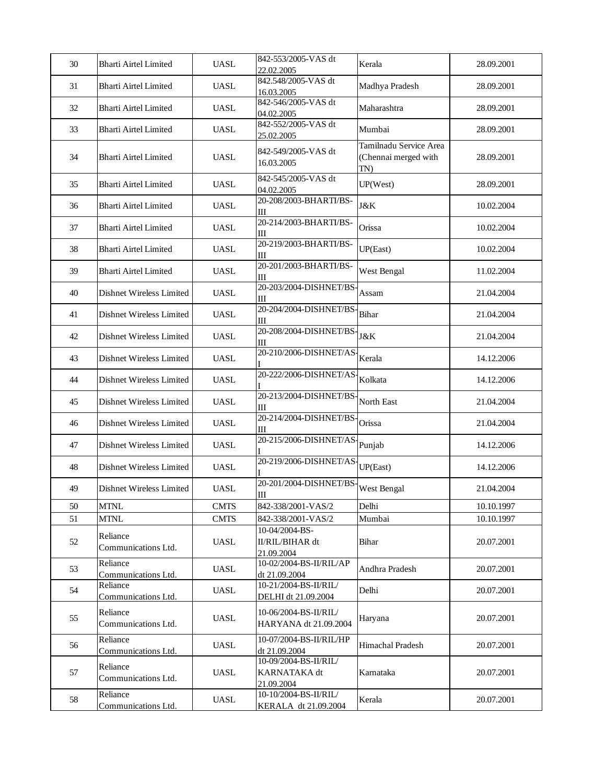| 30 | <b>Bharti Airtel Limited</b>    | <b>UASL</b> | 842-553/2005-VAS dt<br>22.02.2005                          | Kerala                                                | 28.09.2001 |
|----|---------------------------------|-------------|------------------------------------------------------------|-------------------------------------------------------|------------|
| 31 | <b>Bharti Airtel Limited</b>    | <b>UASL</b> | 842.548/2005-VAS dt<br>16.03.2005                          | Madhya Pradesh                                        | 28.09.2001 |
| 32 | <b>Bharti Airtel Limited</b>    | <b>UASL</b> | 842-546/2005-VAS dt<br>04.02.2005                          | Maharashtra                                           | 28.09.2001 |
| 33 | <b>Bharti Airtel Limited</b>    | <b>UASL</b> | 842-552/2005-VAS dt<br>25.02.2005                          | Mumbai                                                | 28.09.2001 |
| 34 | <b>Bharti Airtel Limited</b>    | <b>UASL</b> | 842-549/2005-VAS dt<br>16.03.2005                          | Tamilnadu Service Area<br>(Chennai merged with<br>TN) | 28.09.2001 |
| 35 | <b>Bharti Airtel Limited</b>    | <b>UASL</b> | 842-545/2005-VAS dt<br>04.02.2005                          | UP(West)                                              | 28.09.2001 |
| 36 | <b>Bharti Airtel Limited</b>    | <b>UASL</b> | 20-208/2003-BHARTI/BS-<br>Ш                                | <b>J</b> &K                                           | 10.02.2004 |
| 37 | <b>Bharti Airtel Limited</b>    | <b>UASL</b> | 20-214/2003-BHARTI/BS-<br>Ш                                | Orissa                                                | 10.02.2004 |
| 38 | <b>Bharti Airtel Limited</b>    | <b>UASL</b> | 20-219/2003-BHARTI/BS-<br>Ш                                | UP(East)                                              | 10.02.2004 |
| 39 | <b>Bharti Airtel Limited</b>    | <b>UASL</b> | 20-201/2003-BHARTI/BS-<br>Ш                                | West Bengal                                           | 11.02.2004 |
| 40 | Dishnet Wireless Limited        | <b>UASL</b> | 20-203/2004-DISHNET/BS<br>Ш                                | Assam                                                 | 21.04.2004 |
| 41 | Dishnet Wireless Limited        | <b>UASL</b> | 20-204/2004-DISHNET/BS<br>Ш                                | Bihar                                                 | 21.04.2004 |
| 42 | Dishnet Wireless Limited        | <b>UASL</b> | 20-208/2004-DISHNET/BS<br>Ш                                | J&K                                                   | 21.04.2004 |
| 43 | Dishnet Wireless Limited        | <b>UASL</b> | 20-210/2006-DISHNET/AS                                     | Kerala                                                | 14.12.2006 |
| 44 | Dishnet Wireless Limited        | <b>UASL</b> | 20-222/2006-DISHNET/AS                                     | Kolkata                                               | 14.12.2006 |
| 45 | Dishnet Wireless Limited        | <b>UASL</b> | 20-213/2004-DISHNET/BS<br>Ш                                | North East                                            | 21.04.2004 |
| 46 | Dishnet Wireless Limited        | <b>UASL</b> | 20-214/2004-DISHNET/BS<br>Ш                                | Orissa                                                | 21.04.2004 |
| 47 | Dishnet Wireless Limited        | <b>UASL</b> | 20-215/2006-DISHNET/AS                                     | Punjab                                                | 14.12.2006 |
| 48 | Dishnet Wireless Limited        | <b>UASL</b> | 20-219/2006-DISHNET/AS                                     | UP(East)                                              | 14.12.2006 |
| 49 | Dishnet Wireless Limited        | <b>UASL</b> | 20-201/2004-DISHNET/BS<br>Ш                                | West Bengal                                           | 21.04.2004 |
| 50 | <b>MTNL</b>                     | <b>CMTS</b> | 842-338/2001-VAS/2                                         | Delhi                                                 | 10.10.1997 |
| 51 | <b>MTNL</b>                     | <b>CMTS</b> | 842-338/2001-VAS/2                                         | Mumbai                                                | 10.10.1997 |
| 52 | Reliance<br>Communications Ltd. | <b>UASL</b> | 10-04/2004-BS-<br><b>II/RIL/BIHAR dt</b><br>21.09.2004     | Bihar                                                 | 20.07.2001 |
| 53 | Reliance<br>Communications Ltd. | <b>UASL</b> | 10-02/2004-BS-II/RIL/AP<br>dt 21.09.2004                   | Andhra Pradesh                                        | 20.07.2001 |
| 54 | Reliance<br>Communications Ltd. | <b>UASL</b> | 10-21/2004-BS-II/RIL/<br>DELHI dt 21.09.2004               | Delhi                                                 | 20.07.2001 |
| 55 | Reliance<br>Communications Ltd. | <b>UASL</b> | 10-06/2004-BS-II/RIL/<br>HARYANA dt 21.09.2004             | Haryana                                               | 20.07.2001 |
| 56 | Reliance<br>Communications Ltd. | <b>UASL</b> | 10-07/2004-BS-II/RIL/HP<br>dt 21.09.2004                   | Himachal Pradesh                                      | 20.07.2001 |
| 57 | Reliance<br>Communications Ltd. | <b>UASL</b> | 10-09/2004-BS-II/RIL/<br><b>KARNATAKA</b> dt<br>21.09.2004 | Karnataka                                             | 20.07.2001 |
| 58 | Reliance<br>Communications Ltd. | <b>UASL</b> | 10-10/2004-BS-II/RIL/<br>KERALA dt 21.09.2004              | Kerala                                                | 20.07.2001 |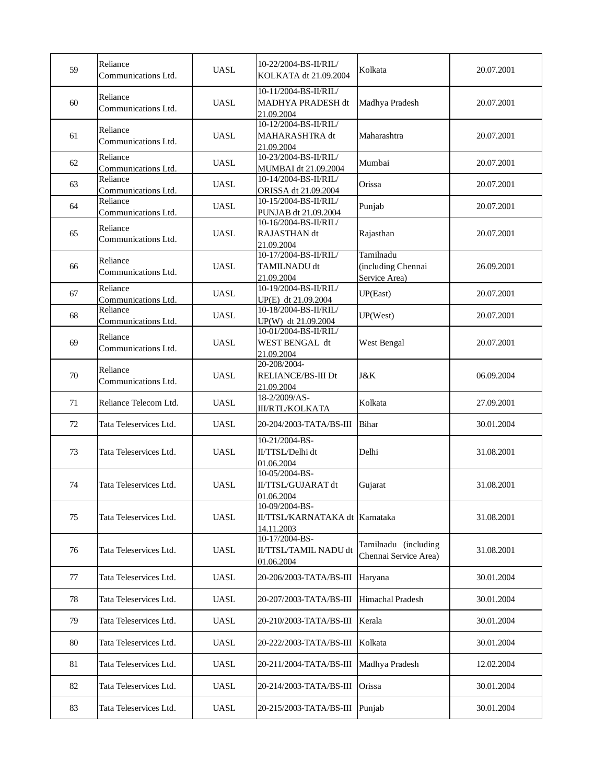| 59 | Reliance<br>Communications Ltd. | <b>UASL</b> | 10-22/2004-BS-II/RIL/<br>KOLKATA dt 21.09.2004                   | Kolkata                                          | 20.07.2001 |
|----|---------------------------------|-------------|------------------------------------------------------------------|--------------------------------------------------|------------|
| 60 | Reliance<br>Communications Ltd. | <b>UASL</b> | 10-11/2004-BS-II/RIL/<br>MADHYA PRADESH dt<br>21.09.2004         | Madhya Pradesh                                   | 20.07.2001 |
| 61 | Reliance<br>Communications Ltd. | <b>UASL</b> | 10-12/2004-BS-II/RIL/<br>MAHARASHTRA dt<br>21.09.2004            | Maharashtra                                      | 20.07.2001 |
| 62 | Reliance<br>Communications Ltd. | <b>UASL</b> | 10-23/2004-BS-II/RIL/<br>MUMBAI dt 21.09.2004                    | Mumbai                                           | 20.07.2001 |
| 63 | Reliance<br>Communications Ltd. | <b>UASL</b> | 10-14/2004-BS-II/RIL/<br>ORISSA dt 21.09.2004                    | Orissa                                           | 20.07.2001 |
| 64 | Reliance<br>Communications Ltd. | <b>UASL</b> | 10-15/2004-BS-II/RIL/<br>PUNJAB dt 21.09.2004                    | Punjab                                           | 20.07.2001 |
| 65 | Reliance<br>Communications Ltd. | <b>UASL</b> | 10-16/2004-BS-II/RIL/<br>RAJASTHAN dt<br>21.09.2004              | Rajasthan                                        | 20.07.2001 |
| 66 | Reliance<br>Communications Ltd. | <b>UASL</b> | 10-17/2004-BS-II/RIL/<br>TAMILNADU dt<br>21.09.2004              | Tamilnadu<br>(including Chennai<br>Service Area) | 26.09.2001 |
| 67 | Reliance<br>Communications Ltd. | <b>UASL</b> | 10-19/2004-BS-II/RIL/<br>UP(E) dt 21.09.2004                     | UP(East)                                         | 20.07.2001 |
| 68 | Reliance<br>Communications Ltd. | <b>UASL</b> | 10-18/2004-BS-II/RIL/<br>UP(W) dt 21.09.2004                     | UP(West)                                         | 20.07.2001 |
| 69 | Reliance<br>Communications Ltd. | <b>UASL</b> | 10-01/2004-BS-II/RIL/<br>WEST BENGAL dt<br>21.09.2004            | West Bengal                                      | 20.07.2001 |
| 70 | Reliance<br>Communications Ltd. | <b>UASL</b> | 20-208/2004-<br>RELIANCE/BS-III Dt<br>21.09.2004                 | J&K                                              | 06.09.2004 |
| 71 | Reliance Telecom Ltd.           | <b>UASL</b> | 18-2/2009/AS-<br><b>III/RTL/KOLKATA</b>                          | Kolkata                                          | 27.09.2001 |
| 72 | Tata Teleservices Ltd.          | <b>UASL</b> | 20-204/2003-TATA/BS-III                                          | <b>Bihar</b>                                     | 30.01.2004 |
| 73 | Tata Teleservices Ltd.          | <b>UASL</b> | 10-21/2004-BS-<br>II/TTSL/Delhi dt<br>01.06.2004                 | Delhi                                            | 31.08.2001 |
| 74 | Tata Teleservices Ltd.          | <b>UASL</b> | 10-05/2004-BS-<br>II/TTSL/GUJARAT dt<br>01.06.2004               | Gujarat                                          | 31.08.2001 |
| 75 | Tata Teleservices Ltd.          | <b>UASL</b> | 10-09/2004-BS-<br>II/TTSL/KARNATAKA dt   Karnataka<br>14.11.2003 |                                                  | 31.08.2001 |
| 76 | Tata Teleservices Ltd.          | <b>UASL</b> | 10-17/2004-BS-<br>II/TTSL/TAMIL NADU dt<br>01.06.2004            | Tamilnadu (including<br>Chennai Service Area)    | 31.08.2001 |
| 77 | Tata Teleservices Ltd.          | <b>UASL</b> | 20-206/2003-TATA/BS-III                                          | Haryana                                          | 30.01.2004 |
| 78 | Tata Teleservices Ltd.          | UASL        | 20-207/2003-TATA/BS-III                                          | Himachal Pradesh                                 | 30.01.2004 |
| 79 | Tata Teleservices Ltd.          | <b>UASL</b> | 20-210/2003-TATA/BS-III                                          | Kerala                                           | 30.01.2004 |
| 80 | Tata Teleservices Ltd.          | <b>UASL</b> | 20-222/2003-TATA/BS-III                                          | Kolkata                                          | 30.01.2004 |
| 81 | Tata Teleservices Ltd.          | <b>UASL</b> | 20-211/2004-TATA/BS-III                                          | Madhya Pradesh                                   | 12.02.2004 |
| 82 | Tata Teleservices Ltd.          | <b>UASL</b> | 20-214/2003-TATA/BS-III                                          | Orissa                                           | 30.01.2004 |
| 83 | Tata Teleservices Ltd.          | <b>UASL</b> | 20-215/2003-TATA/BS-III                                          | Punjab                                           | 30.01.2004 |